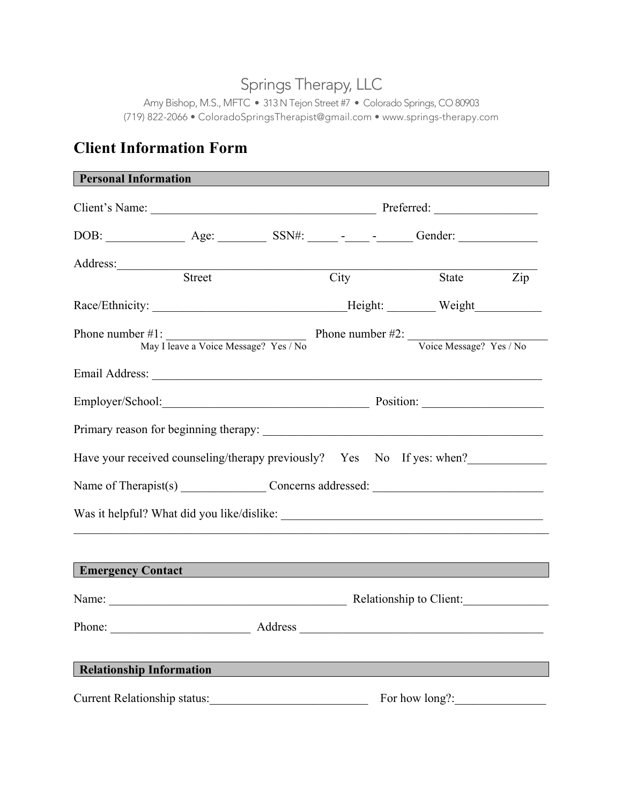# Springs Therapy, LLC

Amy Bishop, M.S., MFTC • 313 N Tejon Street #7 • Colorado Springs, CO 80903 (719) 822-2066 • ColoradoSpringsTherapist@gmail.com • www.springs-therapy.com

## **Client Information Form**

| <b>Personal Information</b>                                            |                                       |                                                                                                                      |      |                                                                                                                                                                                                                                                                                                                                                                                                           |     |
|------------------------------------------------------------------------|---------------------------------------|----------------------------------------------------------------------------------------------------------------------|------|-----------------------------------------------------------------------------------------------------------------------------------------------------------------------------------------------------------------------------------------------------------------------------------------------------------------------------------------------------------------------------------------------------------|-----|
|                                                                        |                                       |                                                                                                                      |      |                                                                                                                                                                                                                                                                                                                                                                                                           |     |
|                                                                        |                                       |                                                                                                                      |      |                                                                                                                                                                                                                                                                                                                                                                                                           |     |
|                                                                        | Street                                |                                                                                                                      | City | State                                                                                                                                                                                                                                                                                                                                                                                                     | Zip |
|                                                                        |                                       |                                                                                                                      |      |                                                                                                                                                                                                                                                                                                                                                                                                           |     |
|                                                                        |                                       |                                                                                                                      |      |                                                                                                                                                                                                                                                                                                                                                                                                           |     |
| Phone number $#1$ :                                                    | May I leave a Voice Message? Yes / No |                                                                                                                      |      | Phone number #2: $\frac{1}{\sqrt{1-\frac{1}{1-\frac{1}{1-\frac{1}{1-\frac{1}{1-\frac{1}{1-\frac{1}{1-\frac{1}{1-\frac{1}{1-\frac{1}{1-\frac{1}{1-\frac{1}{1-\frac{1}{1-\frac{1}{1-\frac{1}{1-\frac{1}{1-\frac{1}{1-\frac{1}{1-\frac{1}{1-\frac{1}{1-\frac{1}{1-\frac{1}{1-\frac{1}{1-\frac{1}{1-\frac{1}{1-\frac{1}{1-\frac{1}{1-\frac{1}{1-\frac{1}{1-\frac{1}{1-\frac{1}{1-\frac{1}{1-\frac{1}{1-\frac$ |     |
|                                                                        |                                       |                                                                                                                      |      |                                                                                                                                                                                                                                                                                                                                                                                                           |     |
| Employer/School: Position: Position:                                   |                                       |                                                                                                                      |      |                                                                                                                                                                                                                                                                                                                                                                                                           |     |
|                                                                        |                                       |                                                                                                                      |      |                                                                                                                                                                                                                                                                                                                                                                                                           |     |
| Have your received counseling/therapy previously? Yes No If yes: when? |                                       |                                                                                                                      |      |                                                                                                                                                                                                                                                                                                                                                                                                           |     |
|                                                                        |                                       |                                                                                                                      |      |                                                                                                                                                                                                                                                                                                                                                                                                           |     |
|                                                                        |                                       |                                                                                                                      |      |                                                                                                                                                                                                                                                                                                                                                                                                           |     |
|                                                                        |                                       |                                                                                                                      |      |                                                                                                                                                                                                                                                                                                                                                                                                           |     |
| <b>Emergency Contact</b>                                               |                                       |                                                                                                                      |      |                                                                                                                                                                                                                                                                                                                                                                                                           |     |
|                                                                        |                                       |                                                                                                                      |      |                                                                                                                                                                                                                                                                                                                                                                                                           |     |
|                                                                        |                                       |                                                                                                                      |      |                                                                                                                                                                                                                                                                                                                                                                                                           |     |
| <b>Relationship Information</b>                                        |                                       |                                                                                                                      |      |                                                                                                                                                                                                                                                                                                                                                                                                           |     |
| Current Relationship status:                                           |                                       | <u> 1989 - Johann Barn, mars ar breist bestjoerde te gemeenter om de gemeenter om de gemeenter om de gemeenter o</u> |      | For how long?:                                                                                                                                                                                                                                                                                                                                                                                            |     |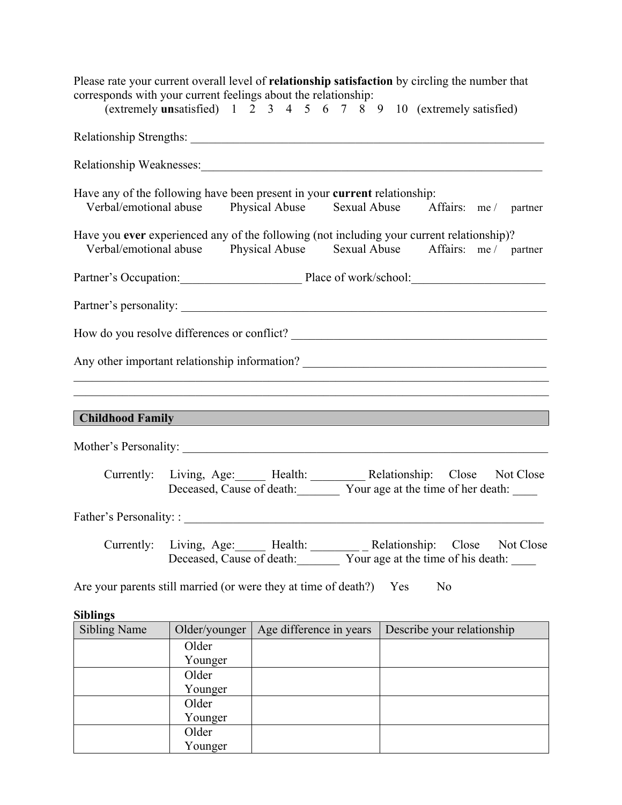|                                        |         | corresponds with your current feelings about the relationship:                                                  | Please rate your current overall level of relationship satisfaction by circling the number that<br>(extremely unsatisfied) 1 2 3 4 5 6 7 8 9 10 (extremely satisfied)                                                                |
|----------------------------------------|---------|-----------------------------------------------------------------------------------------------------------------|--------------------------------------------------------------------------------------------------------------------------------------------------------------------------------------------------------------------------------------|
|                                        |         |                                                                                                                 |                                                                                                                                                                                                                                      |
|                                        |         | Relationship Weaknesses: Manual Manual Manual Manual Manual Manual Manual Manual Manual Manual Manual Manual Ma |                                                                                                                                                                                                                                      |
|                                        |         | Have any of the following have been present in your current relationship:                                       | Verbal/emotional abuse Physical Abuse Sexual Abuse Affairs: me/ partner                                                                                                                                                              |
|                                        |         |                                                                                                                 | Have you ever experienced any of the following (not including your current relationship)?<br>Verbal/emotional abuse Physical Abuse Sexual Abuse Affairs: me / partner                                                                |
|                                        |         |                                                                                                                 | Partner's Occupation: Place of work/school:                                                                                                                                                                                          |
|                                        |         |                                                                                                                 |                                                                                                                                                                                                                                      |
|                                        |         |                                                                                                                 |                                                                                                                                                                                                                                      |
|                                        |         |                                                                                                                 | Any other important relationship information? ___________________________________<br>,我们也不能在这里的人,我们也不能在这里的人,我们也不能在这里的人,我们也不能在这里的人,我们也不能在这里的人,我们也不能在这里的人,我们也不能在这里的人,我们也                                                               |
|                                        |         |                                                                                                                 | <u> 1989 - Jan Samuel Barbara, margaret eta idazlea (h. 1989).</u>                                                                                                                                                                   |
|                                        |         |                                                                                                                 | Childhood Family <b>Executive Contract Contract Contract Contract Contract Contract Contract Contract Contract Contract Contract Contract Contract Contract Contract Contract Contract Contract Contract Contract Contract Contr</b> |
|                                        |         |                                                                                                                 |                                                                                                                                                                                                                                      |
|                                        |         |                                                                                                                 | Currently: Living, Age: Health: Relationship: Close Not Close<br>Deceased, Cause of death: Your age at the time of her death:                                                                                                        |
|                                        |         |                                                                                                                 |                                                                                                                                                                                                                                      |
|                                        |         |                                                                                                                 | Not Close<br>Deceased, Cause of death: Your age at the time of his death:                                                                                                                                                            |
|                                        |         | Are your parents still married (or were they at time of death?) Yes                                             | N <sub>o</sub>                                                                                                                                                                                                                       |
| <b>Siblings</b><br><b>Sibling Name</b> |         | Older/younger   Age difference in years                                                                         | Describe your relationship                                                                                                                                                                                                           |
|                                        | Older   |                                                                                                                 |                                                                                                                                                                                                                                      |
|                                        | Younger |                                                                                                                 |                                                                                                                                                                                                                                      |
|                                        | Older   |                                                                                                                 |                                                                                                                                                                                                                                      |
|                                        | Younger |                                                                                                                 |                                                                                                                                                                                                                                      |
|                                        | Older   |                                                                                                                 |                                                                                                                                                                                                                                      |
|                                        | Younger |                                                                                                                 |                                                                                                                                                                                                                                      |
|                                        | Older   |                                                                                                                 |                                                                                                                                                                                                                                      |

Younger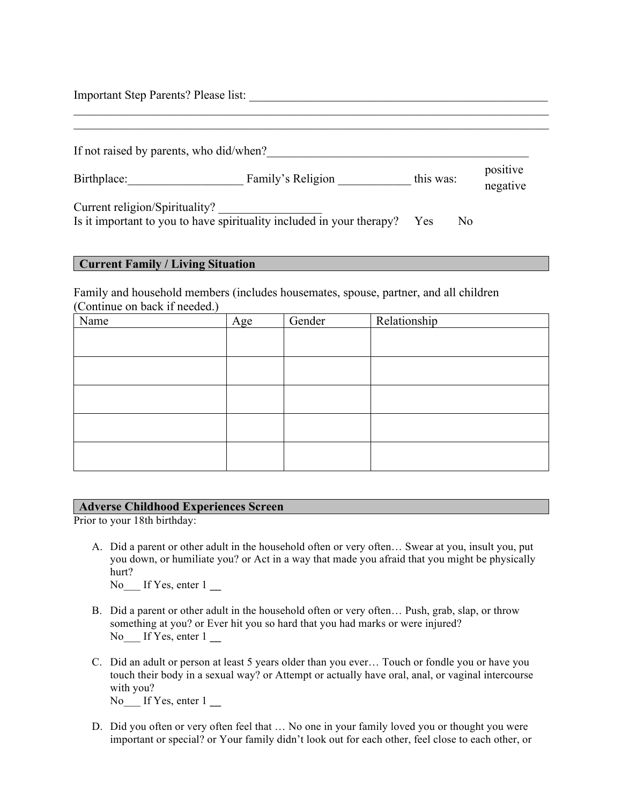Important Step Parents? Please list: \_\_\_\_\_\_\_\_\_\_\_\_\_\_\_\_\_\_\_\_\_\_\_\_\_\_\_\_\_\_\_\_\_\_\_\_\_\_\_\_\_\_\_\_\_\_\_\_\_

| If not raised by parents, who did/when?                                                                 |                   |           |     |                      |
|---------------------------------------------------------------------------------------------------------|-------------------|-----------|-----|----------------------|
| Birthplace:                                                                                             | Family's Religion | this was: |     | positive<br>negative |
| Current religion/Spirituality?<br>Is it important to you to have spirituality included in your therapy? |                   | Yes       | No. |                      |

 $\mathcal{L}_\mathcal{L} = \{ \mathcal{L}_\mathcal{L} = \{ \mathcal{L}_\mathcal{L} = \{ \mathcal{L}_\mathcal{L} = \{ \mathcal{L}_\mathcal{L} = \{ \mathcal{L}_\mathcal{L} = \{ \mathcal{L}_\mathcal{L} = \{ \mathcal{L}_\mathcal{L} = \{ \mathcal{L}_\mathcal{L} = \{ \mathcal{L}_\mathcal{L} = \{ \mathcal{L}_\mathcal{L} = \{ \mathcal{L}_\mathcal{L} = \{ \mathcal{L}_\mathcal{L} = \{ \mathcal{L}_\mathcal{L} = \{ \mathcal{L}_\mathcal{$ 

### **Current Family / Living Situation**

Family and household members (includes housemates, spouse, partner, and all children (Continue on back if needed.)

| Name | Age | Gender | Relationship |
|------|-----|--------|--------------|
|      |     |        |              |
|      |     |        |              |
|      |     |        |              |
|      |     |        |              |
|      |     |        |              |
|      |     |        |              |
|      |     |        |              |
|      |     |        |              |
|      |     |        |              |

#### **Adverse Childhood Experiences Screen**

Prior to your 18th birthday:

A. Did a parent or other adult in the household often or very often… Swear at you, insult you, put you down, or humiliate you? or Act in a way that made you afraid that you might be physically hurt?

No If Yes, enter 1

- B. Did a parent or other adult in the household often or very often… Push, grab, slap, or throw something at you? or Ever hit you so hard that you had marks or were injured? No\_\_\_ If Yes, enter 1 **\_\_**
- C. Did an adult or person at least 5 years older than you ever… Touch or fondle you or have you touch their body in a sexual way? or Attempt or actually have oral, anal, or vaginal intercourse with you?

No If Yes, enter 1

D. Did you often or very often feel that … No one in your family loved you or thought you were important or special? or Your family didn't look out for each other, feel close to each other, or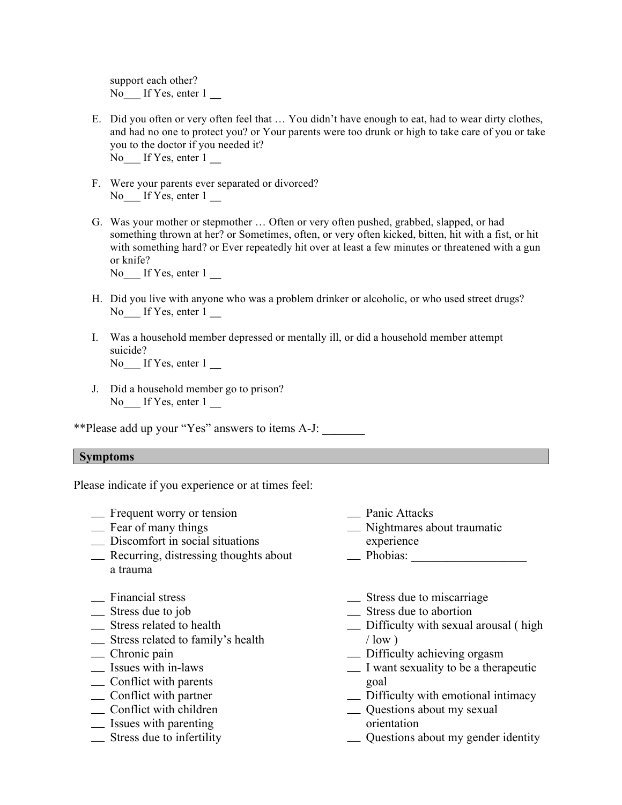support each other? No If Yes, enter 1

- E. Did you often or very often feel that … You didn't have enough to eat, had to wear dirty clothes, and had no one to protect you? or Your parents were too drunk or high to take care of you or take you to the doctor if you needed it? No If Yes, enter 1
- F. Were your parents ever separated or divorced? No If Yes, enter 1
- G. Was your mother or stepmother … Often or very often pushed, grabbed, slapped, or had something thrown at her? or Sometimes, often, or very often kicked, bitten, hit with a fist, or hit with something hard? or Ever repeatedly hit over at least a few minutes or threatened with a gun or knife?

No If Yes, enter 1

- H. Did you live with anyone who was a problem drinker or alcoholic, or who used street drugs? No If Yes, enter 1
- I. Was a household member depressed or mentally ill, or did a household member attempt suicide? No If Yes, enter 1
- J. Did a household member go to prison? No If Yes, enter 1

\*\*Please add up your "Yes" answers to items A-J: \_\_\_\_\_\_\_

#### **Symptoms**

Please indicate if you experience or at times feel:

- ¾ Frequent worry or tension
- $\equiv$  Fear of many things
- ¾ Discomfort in social situations
- ¾ Recurring, distressing thoughts about a trauma
- ¾ Financial stress
- $\equiv$  Stress due to job
- ¾ Stress related to health
- ¾ Stress related to family's health
- ¾ Chronic pain
- ¾ Issues with in-laws
- ¾ Conflict with parents
- ¾ Conflict with partner
- ¾ Conflict with children
- $\equiv$  Issues with parenting
- ¾ Stress due to infertility
- ¾ Panic Attacks
- ¾ Nightmares about traumatic experience
- ¾ Phobias: \_\_\_\_\_\_\_\_\_\_\_\_\_\_\_\_\_\_\_
- ¾ Stress due to miscarriage
- $\equiv$  Stress due to abortion
- ¾ Difficulty with sexual arousal ( high  $/$  low  $)$
- ¾ Difficulty achieving orgasm
- $\equiv$  I want sexuality to be a therapeutic goal
- ¾ Difficulty with emotional intimacy
- ¾ Questions about my sexual orientation
- ¾ Questions about my gender identity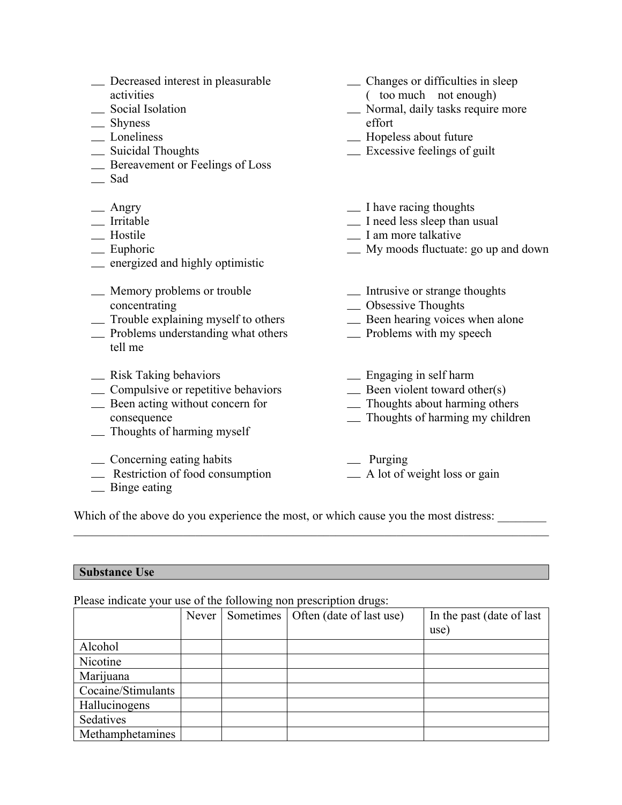- ¾ Decreased interest in pleasurable activities
- ¾ Social Isolation
- ¾ Shyness
- ¾ Loneliness
- ¾ Suicidal Thoughts
- ¾ Bereavement or Feelings of Loss
- ¾ Sad
- $\equiv$  Angry
- ¾ Irritable
- ¾ Hostile
- \_ Euphoric
- $\equiv$  energized and highly optimistic
- ¾ Memory problems or trouble concentrating
- $\equiv$  Trouble explaining myself to others
- ¾ Problems understanding what others tell me
- $\equiv$  Risk Taking behaviors
- ¾ Compulsive or repetitive behaviors
- ¾ Been acting without concern for consequence
- $\equiv$  Thoughts of harming myself
- ¾ Concerning eating habits
- ¾ Restriction of food consumption
- $\equiv$  Binge eating

¾ Normal, daily tasks require more effort ¾ Hopeless about future  $\equiv$  Excessive feelings of guilt  $\equiv$  I have racing thoughts  $\equiv$  I need less sleep than usual ¾ I am more talkative ¾ My moods fluctuate: go up and down ¾ Intrusive or strange thoughts ¾ Obsessive Thoughts  $\equiv$  Been hearing voices when alone ¾ Problems with my speech  $\equiv$  Engaging in self harm  $\equiv$  Been violent toward other(s)  $\equiv$  Thoughts about harming others  $\equiv$  Thoughts of harming my children  $\equiv$  Purging  $\equiv$  A lot of weight loss or gain

¾ Changes or difficulties in sleep (too much not enough)

Which of the above do you experience the most, or which cause you the most distress:

 $\mathcal{L}_\mathcal{L} = \{ \mathcal{L}_\mathcal{L} = \{ \mathcal{L}_\mathcal{L} = \{ \mathcal{L}_\mathcal{L} = \{ \mathcal{L}_\mathcal{L} = \{ \mathcal{L}_\mathcal{L} = \{ \mathcal{L}_\mathcal{L} = \{ \mathcal{L}_\mathcal{L} = \{ \mathcal{L}_\mathcal{L} = \{ \mathcal{L}_\mathcal{L} = \{ \mathcal{L}_\mathcal{L} = \{ \mathcal{L}_\mathcal{L} = \{ \mathcal{L}_\mathcal{L} = \{ \mathcal{L}_\mathcal{L} = \{ \mathcal{L}_\mathcal{$ 

#### **Substance Use Substance Use** *Substance Use*

Please indicate your use of the following non prescription drugs:

|                    | Never | Sometimes   Often (date of last use) | In the past (date of last) |
|--------------------|-------|--------------------------------------|----------------------------|
|                    |       |                                      | use)                       |
| Alcohol            |       |                                      |                            |
| Nicotine           |       |                                      |                            |
| Marijuana          |       |                                      |                            |
| Cocaine/Stimulants |       |                                      |                            |
| Hallucinogens      |       |                                      |                            |
| Sedatives          |       |                                      |                            |
| Methamphetamines   |       |                                      |                            |